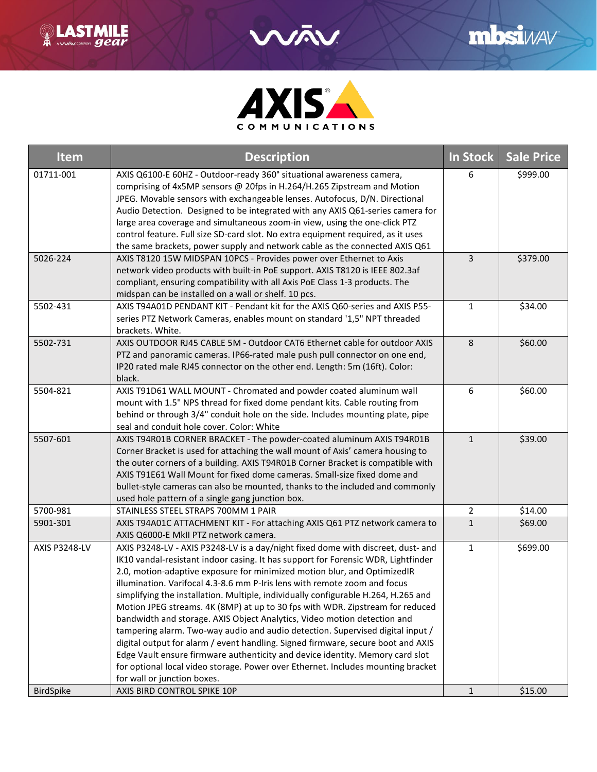



| Item             | <b>Description</b>                                                                                                                                                                                                                                                                                                                                                                                                                                                                                                                                                                                                                                                                                                                                                                                                                                                                                                                                          | In Stock     | <b>Sale Price</b> |
|------------------|-------------------------------------------------------------------------------------------------------------------------------------------------------------------------------------------------------------------------------------------------------------------------------------------------------------------------------------------------------------------------------------------------------------------------------------------------------------------------------------------------------------------------------------------------------------------------------------------------------------------------------------------------------------------------------------------------------------------------------------------------------------------------------------------------------------------------------------------------------------------------------------------------------------------------------------------------------------|--------------|-------------------|
| 01711-001        | AXIS Q6100-E 60HZ - Outdoor-ready 360° situational awareness camera,<br>comprising of 4x5MP sensors @ 20fps in H.264/H.265 Zipstream and Motion<br>JPEG. Movable sensors with exchangeable lenses. Autofocus, D/N. Directional<br>Audio Detection. Designed to be integrated with any AXIS Q61-series camera for<br>large area coverage and simultaneous zoom-in view, using the one-click PTZ<br>control feature. Full size SD-card slot. No extra equipment required, as it uses<br>the same brackets, power supply and network cable as the connected AXIS Q61                                                                                                                                                                                                                                                                                                                                                                                           | 6            | \$999.00          |
| 5026-224         | AXIS T8120 15W MIDSPAN 10PCS - Provides power over Ethernet to Axis<br>network video products with built-in PoE support. AXIS T8120 is IEEE 802.3af<br>compliant, ensuring compatibility with all Axis PoE Class 1-3 products. The<br>midspan can be installed on a wall or shelf. 10 pcs.                                                                                                                                                                                                                                                                                                                                                                                                                                                                                                                                                                                                                                                                  | 3            | \$379.00          |
| 5502-431         | AXIS T94A01D PENDANT KIT - Pendant kit for the AXIS Q60-series and AXIS P55-<br>series PTZ Network Cameras, enables mount on standard '1,5" NPT threaded<br>brackets. White.                                                                                                                                                                                                                                                                                                                                                                                                                                                                                                                                                                                                                                                                                                                                                                                | $\mathbf{1}$ | \$34.00           |
| 5502-731         | AXIS OUTDOOR RJ45 CABLE 5M - Outdoor CAT6 Ethernet cable for outdoor AXIS<br>PTZ and panoramic cameras. IP66-rated male push pull connector on one end,<br>IP20 rated male RJ45 connector on the other end. Length: 5m (16ft). Color:<br>black.                                                                                                                                                                                                                                                                                                                                                                                                                                                                                                                                                                                                                                                                                                             | 8            | \$60.00           |
| 5504-821         | AXIS T91D61 WALL MOUNT - Chromated and powder coated aluminum wall<br>mount with 1.5" NPS thread for fixed dome pendant kits. Cable routing from<br>behind or through 3/4" conduit hole on the side. Includes mounting plate, pipe<br>seal and conduit hole cover. Color: White                                                                                                                                                                                                                                                                                                                                                                                                                                                                                                                                                                                                                                                                             | 6            | \$60.00           |
| 5507-601         | AXIS T94R01B CORNER BRACKET - The powder-coated aluminum AXIS T94R01B<br>Corner Bracket is used for attaching the wall mount of Axis' camera housing to<br>the outer corners of a building. AXIS T94R01B Corner Bracket is compatible with<br>AXIS T91E61 Wall Mount for fixed dome cameras. Small-size fixed dome and<br>bullet-style cameras can also be mounted, thanks to the included and commonly<br>used hole pattern of a single gang junction box.                                                                                                                                                                                                                                                                                                                                                                                                                                                                                                 | $\mathbf{1}$ | \$39.00           |
| 5700-981         | STAINLESS STEEL STRAPS 700MM 1 PAIR                                                                                                                                                                                                                                                                                                                                                                                                                                                                                                                                                                                                                                                                                                                                                                                                                                                                                                                         | 2            | \$14.00           |
| 5901-301         | AXIS T94A01C ATTACHMENT KIT - For attaching AXIS Q61 PTZ network camera to<br>AXIS Q6000-E MkII PTZ network camera.                                                                                                                                                                                                                                                                                                                                                                                                                                                                                                                                                                                                                                                                                                                                                                                                                                         | $\mathbf{1}$ | \$69.00           |
| AXIS P3248-LV    | AXIS P3248-LV - AXIS P3248-LV is a day/night fixed dome with discreet, dust- and<br>IK10 vandal-resistant indoor casing. It has support for Forensic WDR, Lightfinder<br>2.0, motion-adaptive exposure for minimized motion blur, and OptimizedIR<br>illumination. Varifocal 4.3-8.6 mm P-Iris lens with remote zoom and focus<br>simplifying the installation. Multiple, individually configurable H.264, H.265 and<br>Motion JPEG streams. 4K (8MP) at up to 30 fps with WDR. Zipstream for reduced<br>bandwidth and storage. AXIS Object Analytics, Video motion detection and<br>tampering alarm. Two-way audio and audio detection. Supervised digital input /<br>digital output for alarm / event handling. Signed firmware, secure boot and AXIS<br>Edge Vault ensure firmware authenticity and device identity. Memory card slot<br>for optional local video storage. Power over Ethernet. Includes mounting bracket<br>for wall or junction boxes. | $\mathbf{1}$ | \$699.00          |
| <b>BirdSpike</b> | AXIS BIRD CONTROL SPIKE 10P                                                                                                                                                                                                                                                                                                                                                                                                                                                                                                                                                                                                                                                                                                                                                                                                                                                                                                                                 | $\mathbf{1}$ | \$15.00           |